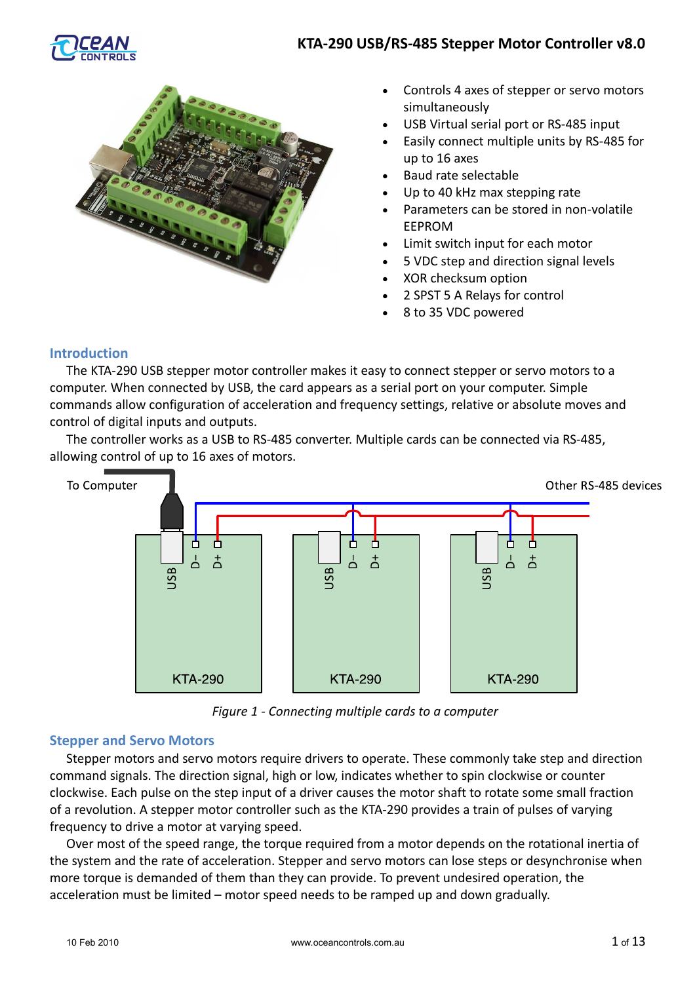

# **KTA-290 USB/RS-485 Stepper Motor Controller v8.0**



- Controls 4 axes of stepper or servo motors simultaneously
- USB Virtual serial port or RS-485 input
- Easily connect multiple units by RS-485 for up to 16 axes
- Baud rate selectable
- Up to 40 kHz max stepping rate
- Parameters can be stored in non-volatile EEPROM
- Limit switch input for each motor
- 5 VDC step and direction signal levels
- XOR checksum option
- 2 SPST 5 A Relays for control
- 8 to 35 VDC powered

# **Introduction**

The KTA-290 USB stepper motor controller makes it easy to connect stepper or servo motors to a computer. When connected by USB, the card appears as a serial port on your computer. Simple commands allow configuration of acceleration and frequency settings, relative or absolute moves and control of digital inputs and outputs.

The controller works as a USB to RS-485 converter. Multiple cards can be connected via RS-485, allowing control of up to 16 axes of motors.



*Figure 1 - Connecting multiple cards to a computer*

# **Stepper and Servo Motors**

Stepper motors and servo motors require drivers to operate. These commonly take step and direction command signals. The direction signal, high or low, indicates whether to spin clockwise or counter clockwise. Each pulse on the step input of a driver causes the motor shaft to rotate some small fraction of a revolution. A stepper motor controller such as the KTA-290 provides a train of pulses of varying frequency to drive a motor at varying speed.

Over most of the speed range, the torque required from a motor depends on the rotational inertia of the system and the rate of acceleration. Stepper and servo motors can lose steps or desynchronise when more torque is demanded of them than they can provide. To prevent undesired operation, the acceleration must be limited – motor speed needs to be ramped up and down gradually.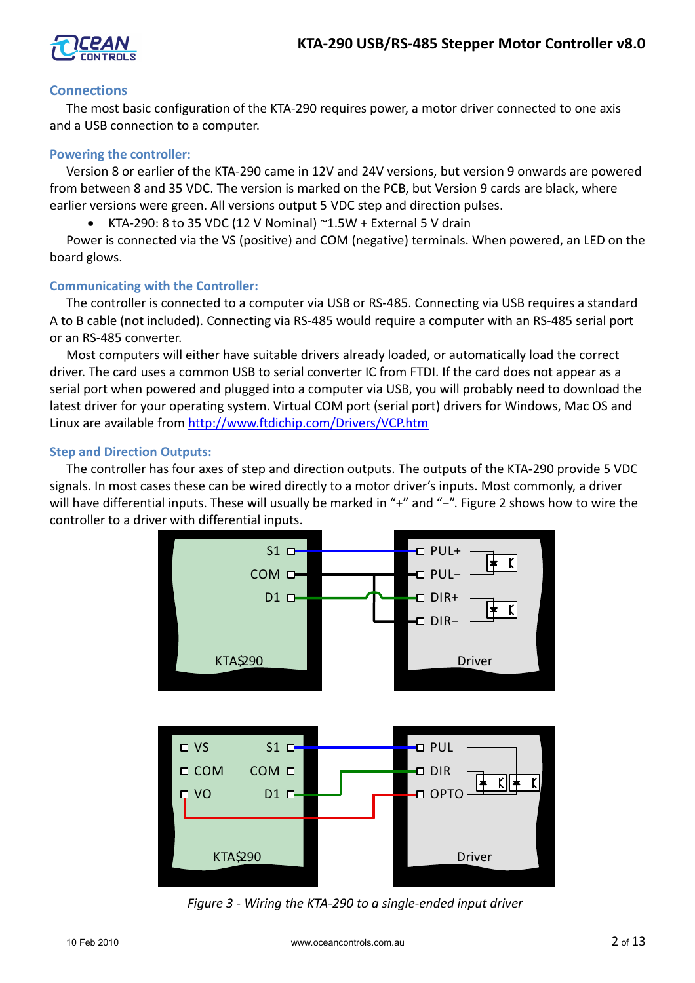

# **Connections**

The most basic configuration of the KTA-290 requires power, a motor driver connected to one axis and a USB connection to a computer.

# **Powering the controller:**

Version 8 or earlier of the KTA-290 came in 12V and 24V versions, but version 9 onwards are powered from between 8 and 35 VDC. The version is marked on the PCB, but Version 9 cards are black, where earlier versions were green. All versions output 5 VDC step and direction pulses.

KTA-290: 8 to 35 VDC (12 V Nominal)  $\sim$ 1.5W + External 5 V drain

Power is connected via the VS (positive) and COM (negative) terminals. When powered, an LED on the board glows.

# **Communicating with the Controller:**

The controller is connected to a computer via USB or RS-485. Connecting via USB requires a standard A to B cable (not included). Connecting via RS-485 would require a computer with an RS-485 serial port or an RS-485 converter.

Most computers will either have suitable drivers already loaded, or automatically load the correct driver. The card uses a common USB to serial converter IC from FTDI. If the card does not appear as a serial port when powered and plugged into a computer via USB, you will probably need to download the latest driver for your operating system. Virtual COM port (serial port) drivers for Windows, Mac OS and Linux are available from<http://www.ftdichip.com/Drivers/VCP.htm>

# **Step and Direction Outputs:**

The controller has four axes of step and direction outputs. The outputs of the KTA-290 provide 5 VDC signals. In most cases these can be wired directly to a motor driver's inputs. Most commonly, a driver will have differential inputs. These will usually be marked in "+" and "-". Figure 2 shows how to wire the controller to a driver with differential inputs.



*Figure 3 - Wiring the KTA-290 to a single-ended input driver*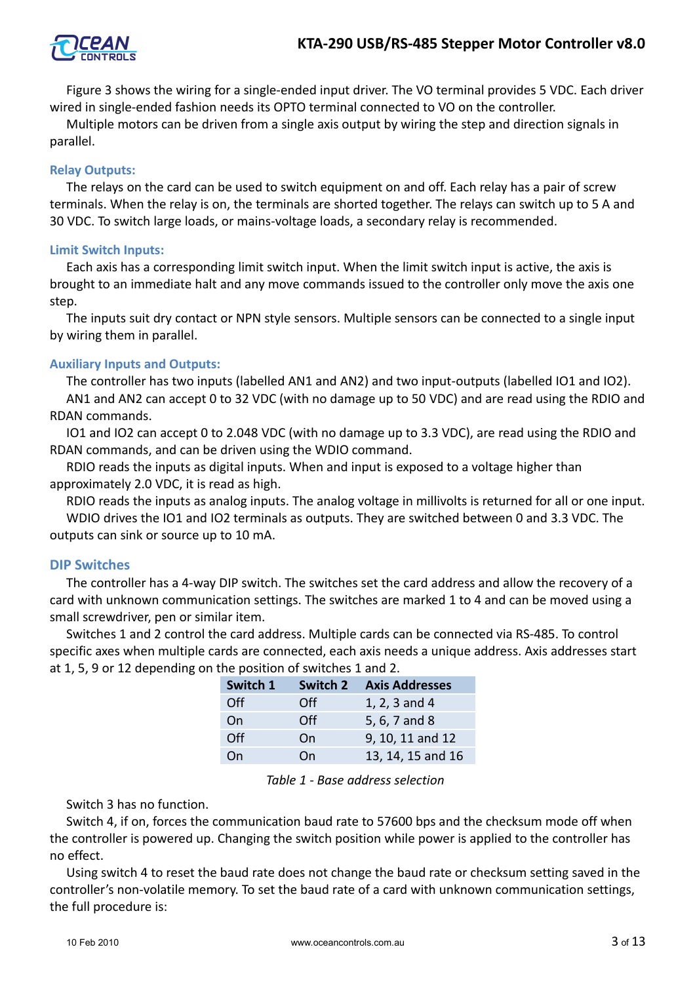

Figure 3 shows the wiring for a single-ended input driver. The VO terminal provides 5 VDC. Each driver wired in single-ended fashion needs its OPTO terminal connected to VO on the controller.

Multiple motors can be driven from a single axis output by wiring the step and direction signals in parallel.

# **Relay Outputs:**

The relays on the card can be used to switch equipment on and off. Each relay has a pair of screw terminals. When the relay is on, the terminals are shorted together. The relays can switch up to 5 A and 30 VDC. To switch large loads, or mains-voltage loads, a secondary relay is recommended.

# **Limit Switch Inputs:**

Each axis has a corresponding limit switch input. When the limit switch input is active, the axis is brought to an immediate halt and any move commands issued to the controller only move the axis one step.

The inputs suit dry contact or NPN style sensors. Multiple sensors can be connected to a single input by wiring them in parallel.

# **Auxiliary Inputs and Outputs:**

The controller has two inputs (labelled AN1 and AN2) and two input-outputs (labelled IO1 and IO2). AN1 and AN2 can accept 0 to 32 VDC (with no damage up to 50 VDC) and are read using the RDIO and RDAN commands.

IO1 and IO2 can accept 0 to 2.048 VDC (with no damage up to 3.3 VDC), are read using the RDIO and RDAN commands, and can be driven using the WDIO command.

RDIO reads the inputs as digital inputs. When and input is exposed to a voltage higher than approximately 2.0 VDC, it is read as high.

RDIO reads the inputs as analog inputs. The analog voltage in millivolts is returned for all or one input. WDIO drives the IO1 and IO2 terminals as outputs. They are switched between 0 and 3.3 VDC. The outputs can sink or source up to 10 mA.

# **DIP Switches**

The controller has a 4-way DIP switch. The switches set the card address and allow the recovery of a card with unknown communication settings. The switches are marked 1 to 4 and can be moved using a small screwdriver, pen or similar item.

Switches 1 and 2 control the card address. Multiple cards can be connected via RS-485. To control specific axes when multiple cards are connected, each axis needs a unique address. Axis addresses start at 1, 5, 9 or 12 depending on the position of switches 1 and 2.

| Switch 1 | Switch 2 | <b>Axis Addresses</b> |
|----------|----------|-----------------------|
| Off      | Off      | 1, 2, 3 and 4         |
| On       | Off      | 5, 6, 7 and 8         |
| Off      | On       | 9, 10, 11 and 12      |
| On       | On       | 13, 14, 15 and 16     |

#### *Table 1 - Base address selection*

Switch 3 has no function.

Switch 4, if on, forces the communication baud rate to 57600 bps and the checksum mode off when the controller is powered up. Changing the switch position while power is applied to the controller has no effect.

Using switch 4 to reset the baud rate does not change the baud rate or checksum setting saved in the controller's non-volatile memory. To set the baud rate of a card with unknown communication settings, the full procedure is: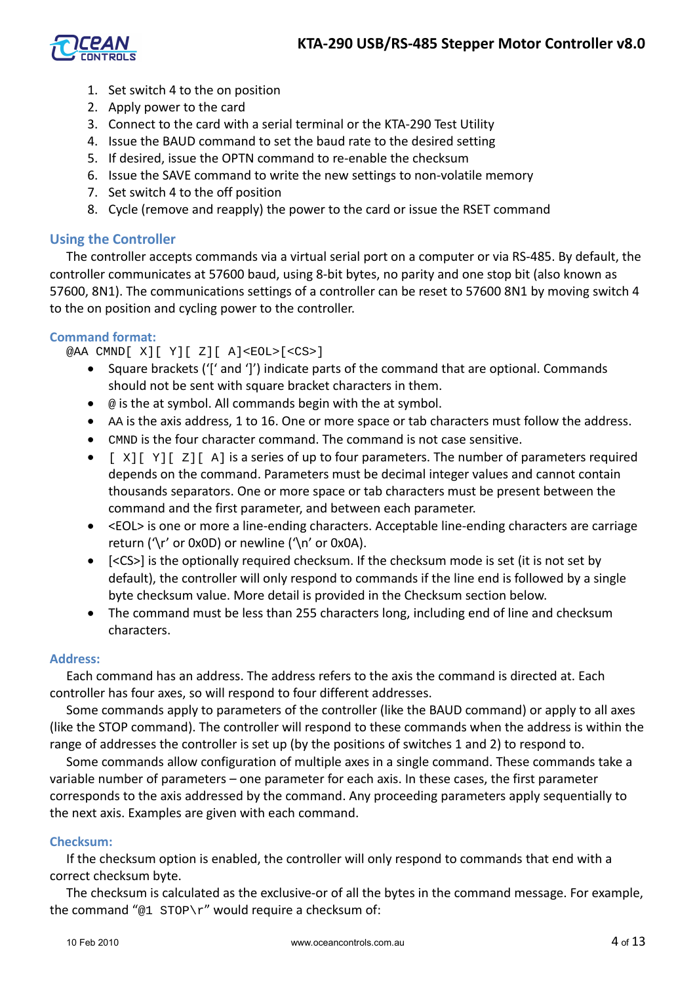

- 1. Set switch 4 to the on position
- 2. Apply power to the card
- 3. Connect to the card with a serial terminal or the KTA-290 Test Utility
- 4. Issue the BAUD command to set the baud rate to the desired setting
- 5. If desired, issue the OPTN command to re-enable the checksum
- 6. Issue the SAVE command to write the new settings to non-volatile memory
- 7. Set switch 4 to the off position
- 8. Cycle (remove and reapply) the power to the card or issue the RSET command

# **Using the Controller**

The controller accepts commands via a virtual serial port on a computer or via RS-485. By default, the controller communicates at 57600 baud, using 8-bit bytes, no parity and one stop bit (also known as 57600, 8N1). The communications settings of a controller can be reset to 57600 8N1 by moving switch 4 to the on position and cycling power to the controller.

# **Command format:**

@AA CMND[ X][ Y][ Z][ A]<EOL>[<CS>]

- Square brackets ('[' and ']') indicate parts of the command that are optional. Commands should not be sent with square bracket characters in them.
- $\bullet$   $\circ$  is the at symbol. All commands begin with the at symbol.
- AA is the axis address, 1 to 16. One or more space or tab characters must follow the address.
- CMND is the four character command. The command is not case sensitive.
- $\bullet$  [  $X$ ][  $Y$ ][  $Z$ ][ A] is a series of up to four parameters. The number of parameters required depends on the command. Parameters must be decimal integer values and cannot contain thousands separators. One or more space or tab characters must be present between the command and the first parameter, and between each parameter.
- <EOL> is one or more a line-ending characters. Acceptable line-ending characters are carriage return ('\r' or 0x0D) or newline ('\n' or 0x0A).
- [<CS>] is the optionally required checksum. If the checksum mode is set (it is not set by default), the controller will only respond to commands if the line end is followed by a single byte checksum value. More detail is provided in the Checksum section below.
- The command must be less than 255 characters long, including end of line and checksum characters.

# **Address:**

Each command has an address. The address refers to the axis the command is directed at. Each controller has four axes, so will respond to four different addresses.

Some commands apply to parameters of the controller (like the BAUD command) or apply to all axes (like the STOP command). The controller will respond to these commands when the address is within the range of addresses the controller is set up (by the positions of switches 1 and 2) to respond to.

Some commands allow configuration of multiple axes in a single command. These commands take a variable number of parameters – one parameter for each axis. In these cases, the first parameter corresponds to the axis addressed by the command. Any proceeding parameters apply sequentially to the next axis. Examples are given with each command.

# **Checksum:**

If the checksum option is enabled, the controller will only respond to commands that end with a correct checksum byte.

The checksum is calculated as the exclusive-or of all the bytes in the command message. For example, the command " $@1$  STOP\r" would require a checksum of: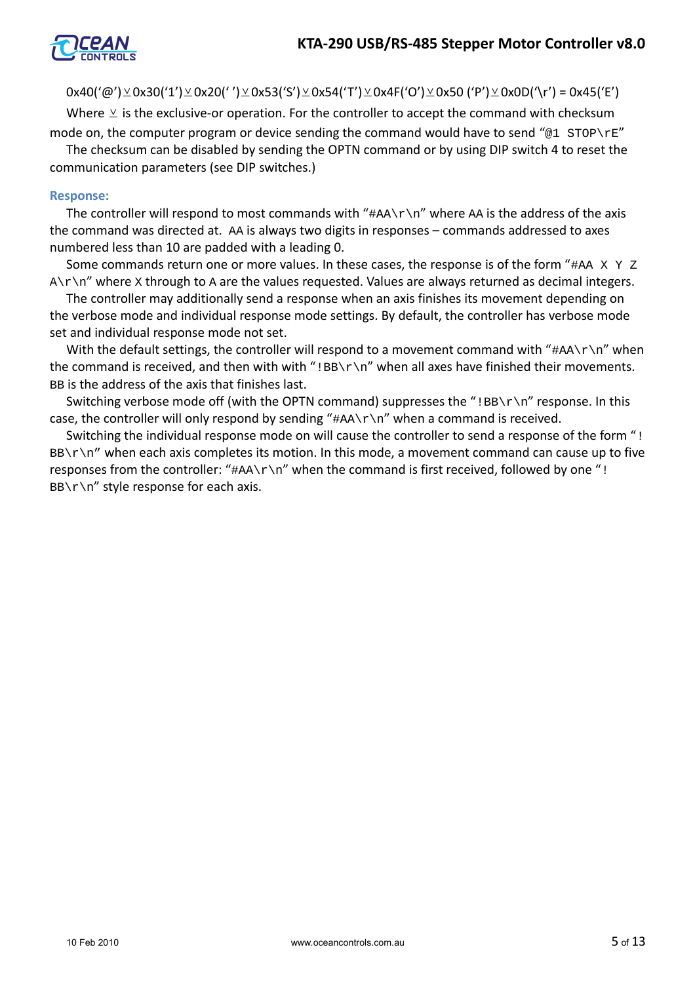

 $0x40('@')\&0x30('1')\&0x20('')\&0x53('S')\&0x54('T')\&0x4F('O')\&0x50 ('P')\&0x0D('\r')=0x45('E')$ 

Where  $\vee$  is the exclusive-or operation. For the controller to accept the command with checksum mode on, the computer program or device sending the command would have to send "@1 STOP\rE"

The checksum can be disabled by sending the OPTN command or by using DIP switch 4 to reset the communication parameters (see DIP switches.)

### **Response:**

The controller will respond to most commands with " $\#AA\$ <sup>'</sup> where AA is the address of the axis the command was directed at. AA is always two digits in responses – commands addressed to axes numbered less than 10 are padded with a leading 0.

Some commands return one or more values. In these cases, the response is of the form " $#AA X Y Z$  $A\$  \n<math>\sqrt{A}\cdot\sqrt{A}</math> where <math>X</math> through to <math>A</math> are the values requested. Values are always returned as decimal integers.

The controller may additionally send a response when an axis finishes its movement depending on the verbose mode and individual response mode settings. By default, the controller has verbose mode set and individual response mode not set.

With the default settings, the controller will respond to a movement command with " $\#AA\$ <sup>"</sup> when the command is received, and then with with "!BB\r\n" when all axes have finished their movements. BB is the address of the axis that finishes last.

Switching verbose mode off (with the OPTN command) suppresses the " $IBB\r\rm\&\n$ " response. In this case, the controller will only respond by sending " $\#AA\r\n\cdot r$ " when a command is received.

Switching the individual response mode on will cause the controller to send a response of the form "!  $BB\rightharpoonup r\$ <sup>"</sup> when each axis completes its motion. In this mode, a movement command can cause up to five responses from the controller: " $\#AA\r\ln$ " when the command is first received, followed by one "!  $BB\rr\n$ <sup>"</sup> style response for each axis.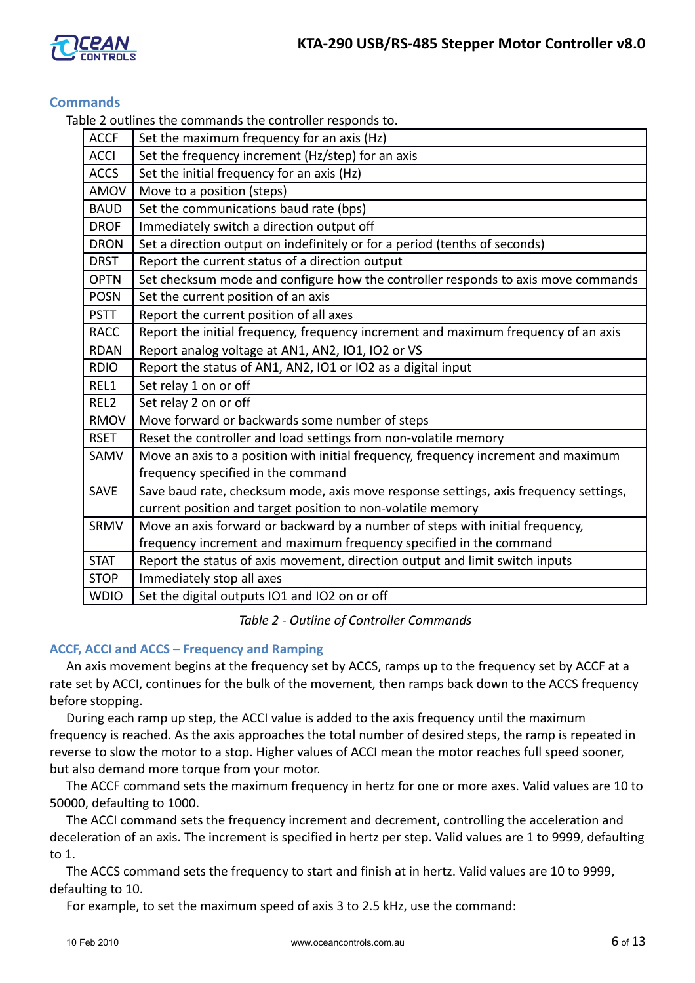

# **Commands**

Table 2 outlines the commands the controller responds to.

| <b>ACCF</b>      | Set the maximum frequency for an axis (Hz)                                           |
|------------------|--------------------------------------------------------------------------------------|
| <b>ACCI</b>      | Set the frequency increment (Hz/step) for an axis                                    |
| <b>ACCS</b>      | Set the initial frequency for an axis (Hz)                                           |
| AMOV             | Move to a position (steps)                                                           |
| <b>BAUD</b>      | Set the communications baud rate (bps)                                               |
| <b>DROF</b>      | Immediately switch a direction output off                                            |
| <b>DRON</b>      | Set a direction output on indefinitely or for a period (tenths of seconds)           |
| <b>DRST</b>      | Report the current status of a direction output                                      |
| <b>OPTN</b>      | Set checksum mode and configure how the controller responds to axis move commands    |
| <b>POSN</b>      | Set the current position of an axis                                                  |
| <b>PSTT</b>      | Report the current position of all axes                                              |
| <b>RACC</b>      | Report the initial frequency, frequency increment and maximum frequency of an axis   |
| <b>RDAN</b>      | Report analog voltage at AN1, AN2, IO1, IO2 or VS                                    |
| <b>RDIO</b>      | Report the status of AN1, AN2, IO1 or IO2 as a digital input                         |
| REL1             | Set relay 1 on or off                                                                |
| REL <sub>2</sub> | Set relay 2 on or off                                                                |
| <b>RMOV</b>      | Move forward or backwards some number of steps                                       |
| <b>RSET</b>      | Reset the controller and load settings from non-volatile memory                      |
| SAMV             | Move an axis to a position with initial frequency, frequency increment and maximum   |
|                  | frequency specified in the command                                                   |
| <b>SAVE</b>      | Save baud rate, checksum mode, axis move response settings, axis frequency settings, |
|                  | current position and target position to non-volatile memory                          |
| SRMV             | Move an axis forward or backward by a number of steps with initial frequency,        |
|                  | frequency increment and maximum frequency specified in the command                   |
| <b>STAT</b>      | Report the status of axis movement, direction output and limit switch inputs         |
| <b>STOP</b>      | Immediately stop all axes                                                            |
| <b>WDIO</b>      | Set the digital outputs IO1 and IO2 on or off                                        |

# *Table 2 - Outline of Controller Commands*

# **ACCF, ACCI and ACCS – Frequency and Ramping**

An axis movement begins at the frequency set by ACCS, ramps up to the frequency set by ACCF at a rate set by ACCI, continues for the bulk of the movement, then ramps back down to the ACCS frequency before stopping.

During each ramp up step, the ACCI value is added to the axis frequency until the maximum frequency is reached. As the axis approaches the total number of desired steps, the ramp is repeated in reverse to slow the motor to a stop. Higher values of ACCI mean the motor reaches full speed sooner, but also demand more torque from your motor.

The ACCF command sets the maximum frequency in hertz for one or more axes. Valid values are 10 to 50000, defaulting to 1000.

The ACCI command sets the frequency increment and decrement, controlling the acceleration and deceleration of an axis. The increment is specified in hertz per step. Valid values are 1 to 9999, defaulting to 1.

The ACCS command sets the frequency to start and finish at in hertz. Valid values are 10 to 9999, defaulting to 10.

For example, to set the maximum speed of axis 3 to 2.5 kHz, use the command: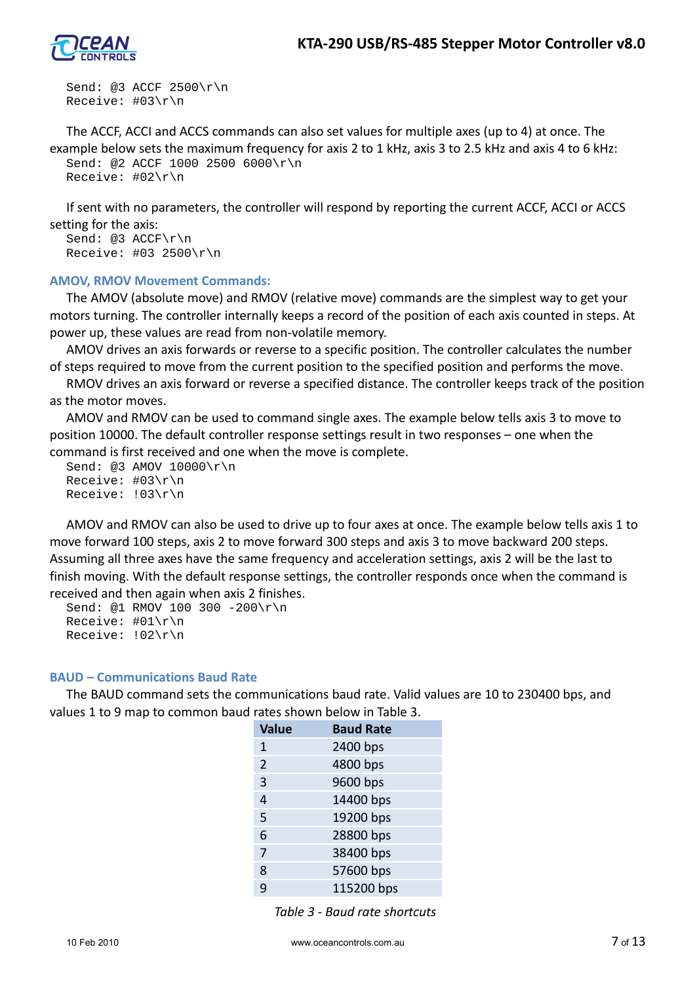

Send: @3 ACCF 2500\r\n Receive: #03\r\n

The ACCF, ACCI and ACCS commands can also set values for multiple axes (up to 4) at once. The example below sets the maximum frequency for axis 2 to 1 kHz, axis 3 to 2.5 kHz and axis 4 to 6 kHz: Send: @2 ACCF 1000 2500 6000\r\n Receive: #02\r\n

If sent with no parameters, the controller will respond by reporting the current ACCF, ACCI or ACCS setting for the axis:

Send: @3 ACCF\r\n Receive: #03 2500\r\n

### **AMOV, RMOV Movement Commands:**

The AMOV (absolute move) and RMOV (relative move) commands are the simplest way to get your motors turning. The controller internally keeps a record of the position of each axis counted in steps. At power up, these values are read from non-volatile memory.

AMOV drives an axis forwards or reverse to a specific position. The controller calculates the number of steps required to move from the current position to the specified position and performs the move.

RMOV drives an axis forward or reverse a specified distance. The controller keeps track of the position as the motor moves.

AMOV and RMOV can be used to command single axes. The example below tells axis 3 to move to position 10000. The default controller response settings result in two responses – one when the command is first received and one when the move is complete.

```
Send: @3 AMOV 10000\r\n
Receive: #03\r\n
Receive: !03\r\n
```
AMOV and RMOV can also be used to drive up to four axes at once. The example below tells axis 1 to move forward 100 steps, axis 2 to move forward 300 steps and axis 3 to move backward 200 steps. Assuming all three axes have the same frequency and acceleration settings, axis 2 will be the last to finish moving. With the default response settings, the controller responds once when the command is received and then again when axis 2 finishes.

Send: @1 RMOV 100 300 -200\r\n Receive: #01\r\n Receive: !02\r\n

#### **BAUD – Communications Baud Rate**

The BAUD command sets the communications baud rate. Valid values are 10 to 230400 bps, and values 1 to 9 map to common baud rates shown below in Table 3.

| <b>Value</b>   | <b>Baud Rate</b> |
|----------------|------------------|
| 1              | 2400 bps         |
| $\overline{2}$ | 4800 bps         |
| 3              | 9600 bps         |
| 4              | 14400 bps        |
| 5              | 19200 bps        |
| 6              | 28800 bps        |
| 7              | 38400 bps        |
| 8              | 57600 bps        |
| q              | 115200 bps       |

*Table 3 - Baud rate shortcuts*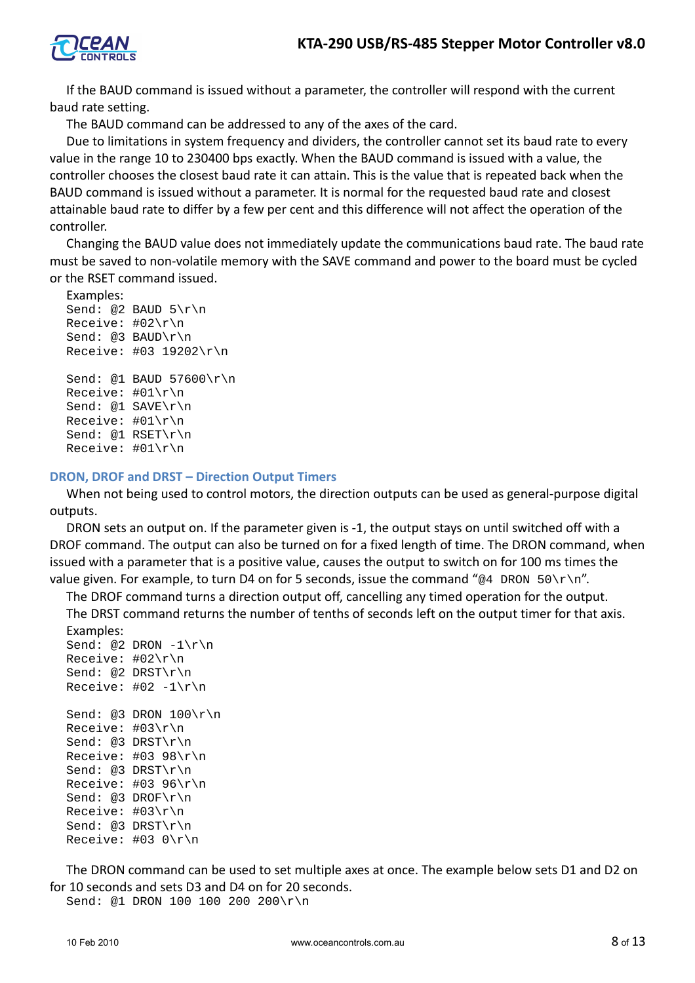

If the BAUD command is issued without a parameter, the controller will respond with the current baud rate setting.

The BAUD command can be addressed to any of the axes of the card.

Due to limitations in system frequency and dividers, the controller cannot set its baud rate to every value in the range 10 to 230400 bps exactly. When the BAUD command is issued with a value, the controller chooses the closest baud rate it can attain. This is the value that is repeated back when the BAUD command is issued without a parameter. It is normal for the requested baud rate and closest attainable baud rate to differ by a few per cent and this difference will not affect the operation of the controller.

Changing the BAUD value does not immediately update the communications baud rate. The baud rate must be saved to non-volatile memory with the SAVE command and power to the board must be cycled or the RSET command issued.

### Examples:

```
Send: @2 BAUD 5\r\n
Receive: #02\r\n
Send: @3 BAUD\r\n
Receive: #03 19202\r\n
Send: @1 BAUD 57600\r\n
Receive: #01\r\n
Send: @1 SAVE\r\n
Receive: #01\r\n
Send: @1 RSET\r\n
Receive: #01\r\n
```
### **DRON, DROF and DRST – Direction Output Timers**

When not being used to control motors, the direction outputs can be used as general-purpose digital outputs.

DRON sets an output on. If the parameter given is -1, the output stays on until switched off with a DROF command. The output can also be turned on for a fixed length of time. The DRON command, when issued with a parameter that is a positive value, causes the output to switch on for 100 ms times the value given. For example, to turn D4 on for 5 seconds, issue the command "@4 DRON 50\r\n".

The DROF command turns a direction output off, cancelling any timed operation for the output. The DRST command returns the number of tenths of seconds left on the output timer for that axis.

```
Examples:
Send: @2 DRON -1\r\n\lnReceive: #02\r\n
Send: @2 DRST\r\n
Receive: #02 -1\rnSend: @3 DRON 100\r\n
Receive: #03\r\n
Send: @3 DRST\r\n
Receive: #03 98\r\n
Send: @3 DRST\r\n
Receive: #03 96\r\n
Send: @3 DROF\r\n
Receive: #03\r\n
Send: @3 DRST\r\n
Receive: #03 0\r\n
```
The DRON command can be used to set multiple axes at once. The example below sets D1 and D2 on for 10 seconds and sets D3 and D4 on for 20 seconds.

Send: @1 DRON 100 100 200 200\r\n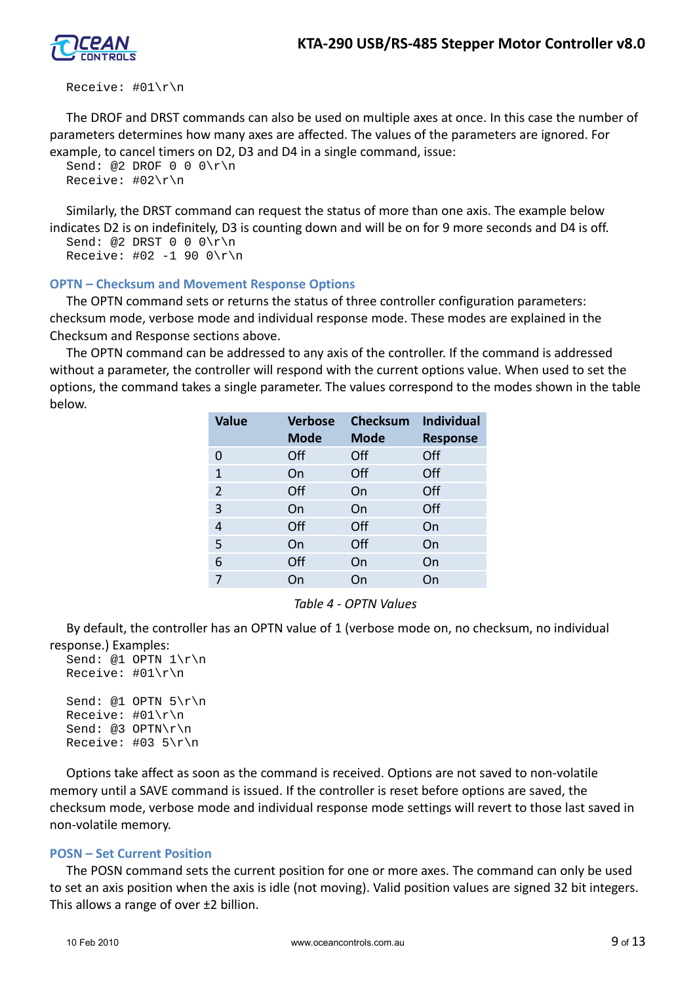

#### Receive: #01\r\n

The DROF and DRST commands can also be used on multiple axes at once. In this case the number of parameters determines how many axes are affected. The values of the parameters are ignored. For example, to cancel timers on D2, D3 and D4 in a single command, issue:

```
Send: @2 DROF 0 \ 0 \ \lceil r \rceilReceive: #02\r\n
```
Similarly, the DRST command can request the status of more than one axis. The example below indicates D2 is on indefinitely, D3 is counting down and will be on for 9 more seconds and D4 is off.

```
Send: @2 DRST 0 \ 0 \ \frac{\gamma}{n}Receive: #02 -1 90 0\r\n
```
### **OPTN – Checksum and Movement Response Options**

The OPTN command sets or returns the status of three controller configuration parameters: checksum mode, verbose mode and individual response mode. These modes are explained in the Checksum and Response sections above.

The OPTN command can be addressed to any axis of the controller. If the command is addressed without a parameter, the controller will respond with the current options value. When used to set the options, the command takes a single parameter. The values correspond to the modes shown in the table below.

| <b>Value</b> | <b>Verbose</b> | <b>Checksum</b> | Individual      |
|--------------|----------------|-----------------|-----------------|
|              | <b>Mode</b>    | <b>Mode</b>     | <b>Response</b> |
| 0            | Off            | Off             | Off             |
| 1            | On             | Off             | Off             |
| 2            | Off            | On              | Off             |
| 3            | On             | On              | Off             |
| 4            | Off            | Off             | On              |
| 5            | On             | Off             | On              |
| 6            | Off            | On              | On              |
| 7            | On             | On              | On              |

*Table 4 - OPTN Values*

By default, the controller has an OPTN value of 1 (verbose mode on, no checksum, no individual response.) Examples:

```
Send: @1 OPTN 1\r\n
Receive: #01\r\n
Send: @1 OPTN 5\r\n
Receive: #01\r\n
Send: @3 OPTN\r\n
Receive: #03 5\r\n
```
Options take affect as soon as the command is received. Options are not saved to non-volatile memory until a SAVE command is issued. If the controller is reset before options are saved, the checksum mode, verbose mode and individual response mode settings will revert to those last saved in non-volatile memory.

#### **POSN – Set Current Position**

The POSN command sets the current position for one or more axes. The command can only be used to set an axis position when the axis is idle (not moving). Valid position values are signed 32 bit integers. This allows a range of over ±2 billion.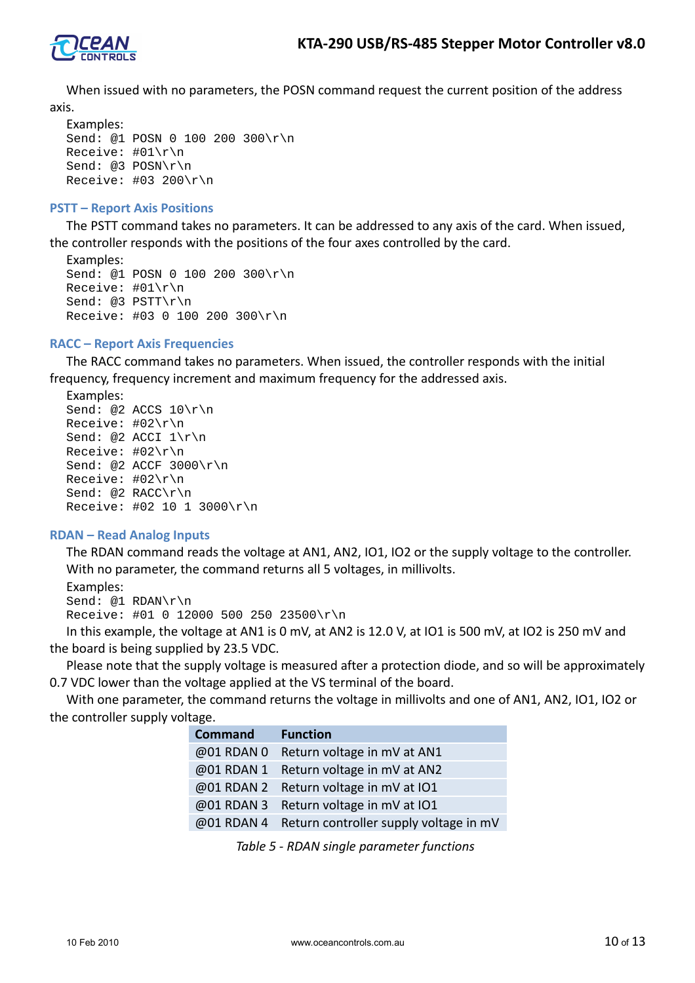

When issued with no parameters, the POSN command request the current position of the address axis.

```
Examples:
Send: @1 POSN 0 100 200 300\r\n
Receive: #01\r\n
Send: @3 POSN\r\n
Receive: #03 200\r\n
```
### **PSTT – Report Axis Positions**

The PSTT command takes no parameters. It can be addressed to any axis of the card. When issued, the controller responds with the positions of the four axes controlled by the card.

```
Examples:
Send: @1 POSN 0 100 200 300\r\n
Receive: #01\r\n
Send: @3 PSTT\r\n
Receive: #03 0 100 200 300\r\n
```
### **RACC – Report Axis Frequencies**

The RACC command takes no parameters. When issued, the controller responds with the initial frequency, frequency increment and maximum frequency for the addressed axis.

Examples:

```
Send: @2 ACCS 10\r\n
Receive: #02\r\n
Send: @2 ACCI 1\r\n
Receive: #02\r\n
Send: @2 ACCF 3000\r\n
Receive: #02\r\n
Send: @2 RACC\r\n
Receive: #02 10 1 3000\r\n
```
# **RDAN – Read Analog Inputs**

The RDAN command reads the voltage at AN1, AN2, IO1, IO2 or the supply voltage to the controller. With no parameter, the command returns all 5 voltages, in millivolts.

```
Examples:
Send: @1 RDAN\r\n
Receive: #01 0 12000 500 250 23500\r\n
```
In this example, the voltage at AN1 is 0 mV, at AN2 is 12.0 V, at IO1 is 500 mV, at IO2 is 250 mV and the board is being supplied by 23.5 VDC.

Please note that the supply voltage is measured after a protection diode, and so will be approximately 0.7 VDC lower than the voltage applied at the VS terminal of the board.

With one parameter, the command returns the voltage in millivolts and one of AN1, AN2, IO1, IO2 or the controller supply voltage.

| <b>Command</b> | <b>Function</b>                                   |
|----------------|---------------------------------------------------|
|                | @01 RDAN 0 Return voltage in mV at AN1            |
|                | @01 RDAN 1 Return voltage in mV at AN2            |
|                | @01 RDAN 2 Return voltage in mV at IO1            |
|                | @01 RDAN 3 Return voltage in mV at IO1            |
|                | @01 RDAN 4 Return controller supply voltage in mV |

*Table 5 - RDAN single parameter functions*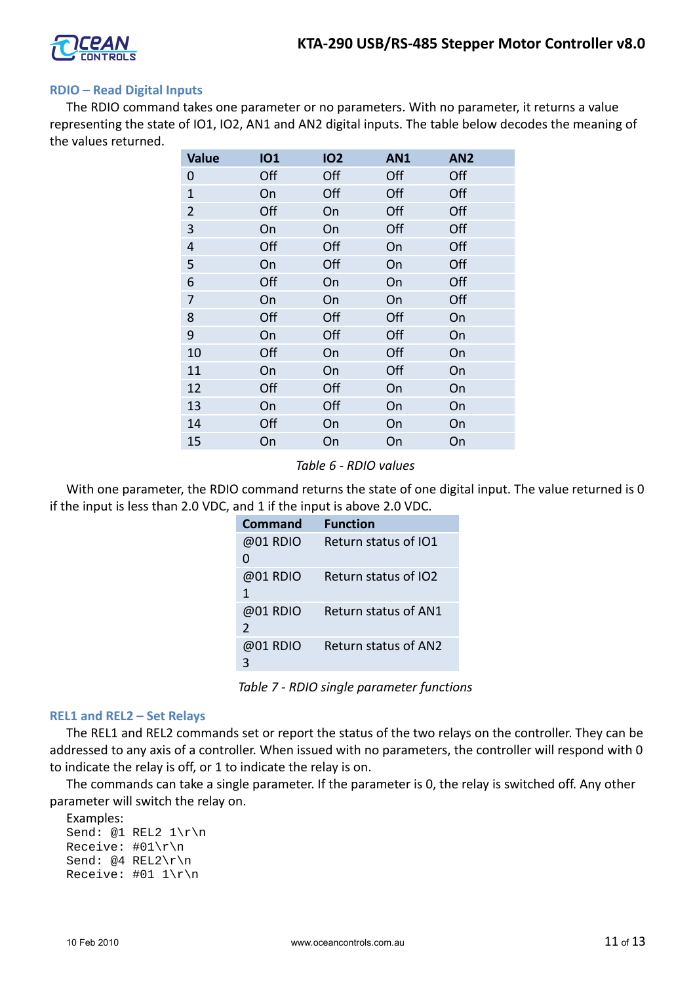

### **RDIO – Read Digital Inputs**

The RDIO command takes one parameter or no parameters. With no parameter, it returns a value representing the state of IO1, IO2, AN1 and AN2 digital inputs. The table below decodes the meaning of the values returned.

| <b>Value</b>   | <b>101</b> | <b>102</b> | <b>AN1</b> | AN <sub>2</sub> |
|----------------|------------|------------|------------|-----------------|
| 0              | Off        | Off        | Off        | Off             |
| $\mathbf{1}$   | On         | Off        | Off        | Off             |
| $\overline{2}$ | Off        | On         | Off        | Off             |
| 3              | On         | On         | Off        | Off             |
| 4              | Off        | Off        | On         | Off             |
| 5              | On         | Off        | On         | Off             |
| 6              | Off        | On         | On         | Off             |
| 7              | On         | On         | On         | Off             |
| 8              | Off        | Off        | Off        | On              |
| 9              | On         | Off        | Off        | On              |
| 10             | Off        | On         | Off        | On              |
| 11             | On         | On         | Off        | On              |
| 12             | Off        | Off        | On         | On              |
| 13             | On         | Off        | On         | On              |
| 14             | Off        | On         | On         | On              |
| 15             | On         | On         | On         | On              |

*Table 6 - RDIO values*

With one parameter, the RDIO command returns the state of one digital input. The value returned is 0 if the input is less than 2.0 VDC, and 1 if the input is above 2.0 VDC.

| Command                   | <b>Function</b>      |
|---------------------------|----------------------|
| @01 RDIO                  | Return status of IO1 |
| 0                         |                      |
| @01 RDIO<br>1             | Return status of IO2 |
| @01 RDIO<br>$\mathcal{P}$ | Return status of AN1 |
| @01 RDIO                  | Return status of AN2 |

*Table 7 - RDIO single parameter functions*

#### **REL1 and REL2 – Set Relays**

The REL1 and REL2 commands set or report the status of the two relays on the controller. They can be addressed to any axis of a controller. When issued with no parameters, the controller will respond with 0 to indicate the relay is off, or 1 to indicate the relay is on.

The commands can take a single parameter. If the parameter is 0, the relay is switched off. Any other parameter will switch the relay on.

```
Examples:
Send: @1 REL2 1\r\n
Receive: #01\r\n
Send: @4 REL2\r\n
Receive: #01 1\r\n
```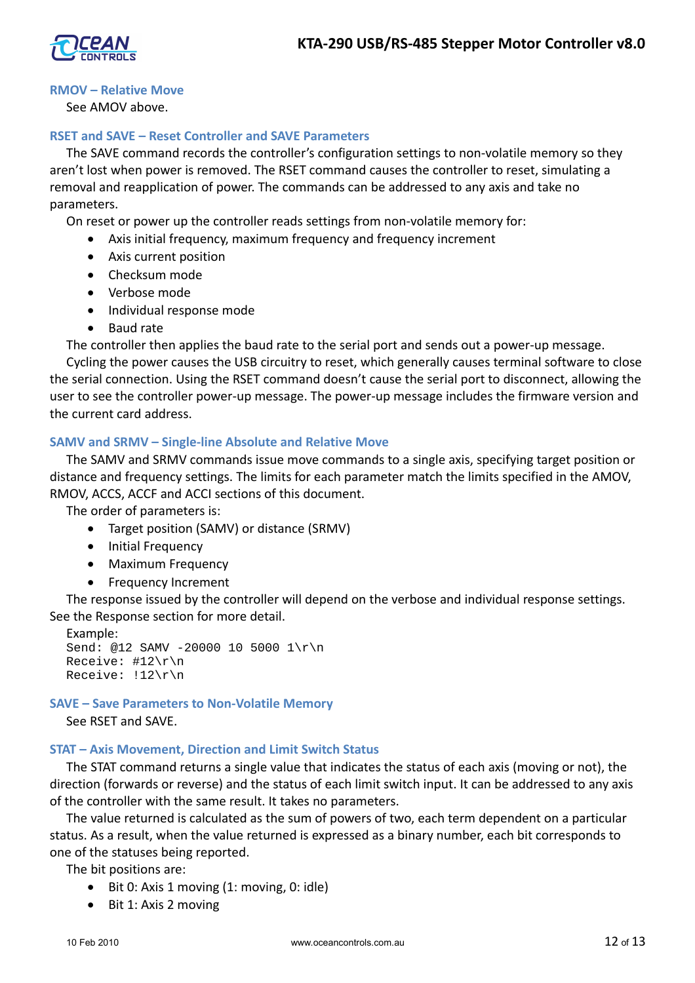### **RMOV – Relative Move**

See AMOV above.

# **RSET and SAVE – Reset Controller and SAVE Parameters**

The SAVE command records the controller's configuration settings to non-volatile memory so they aren't lost when power is removed. The RSET command causes the controller to reset, simulating a removal and reapplication of power. The commands can be addressed to any axis and take no parameters.

On reset or power up the controller reads settings from non-volatile memory for:

- Axis initial frequency, maximum frequency and frequency increment
- Axis current position
- Checksum mode
- Verbose mode
- Individual response mode
- Baud rate

The controller then applies the baud rate to the serial port and sends out a power-up message. Cycling the power causes the USB circuitry to reset, which generally causes terminal software to close the serial connection. Using the RSET command doesn't cause the serial port to disconnect, allowing the user to see the controller power-up message. The power-up message includes the firmware version and the current card address.

### **SAMV and SRMV – Single-line Absolute and Relative Move**

The SAMV and SRMV commands issue move commands to a single axis, specifying target position or distance and frequency settings. The limits for each parameter match the limits specified in the AMOV, RMOV, ACCS, ACCF and ACCI sections of this document.

The order of parameters is:

- Target position (SAMV) or distance (SRMV)
- Initial Frequency
- Maximum Frequency
- Frequency Increment

The response issued by the controller will depend on the verbose and individual response settings. See the Response section for more detail.

```
Example:
Send: @12 SAMV -20000 10 5000 1\r\n
Receive: #12\r\n
Receive: !12\r\n
```
#### **SAVE – Save Parameters to Non-Volatile Memory**

See RSET and SAVE.

#### **STAT – Axis Movement, Direction and Limit Switch Status**

The STAT command returns a single value that indicates the status of each axis (moving or not), the direction (forwards or reverse) and the status of each limit switch input. It can be addressed to any axis of the controller with the same result. It takes no parameters.

The value returned is calculated as the sum of powers of two, each term dependent on a particular status. As a result, when the value returned is expressed as a binary number, each bit corresponds to one of the statuses being reported.

The bit positions are:

- Bit 0: Axis 1 moving (1: moving, 0: idle)
- Bit 1: Axis 2 moving